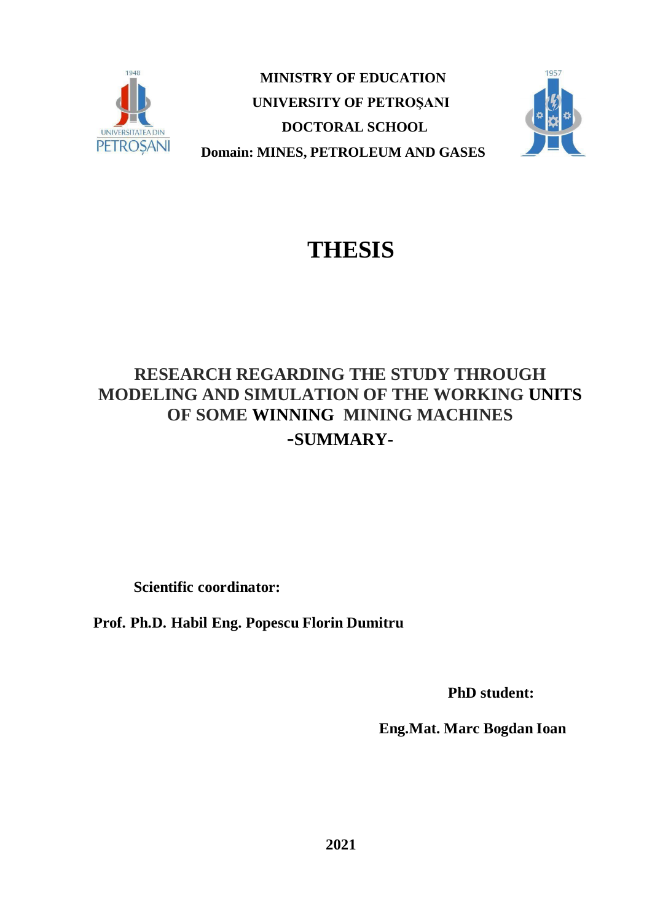

**MINISTRY OF EDUCATION UNIVERSITY OF PETROŞANI DOCTORAL SCHOOL Domain: MINES, PETROLEUM AND GASES**



# **THESIS**

# **RESEARCH REGARDING THE STUDY THROUGH MODELING AND SIMULATION OF THE WORKING UNITS OF SOME WINNING MINING MACHINES -SUMMARY-**

 **Scientific coordinator:**

**Prof. Ph.D. Habil Eng. Popescu Florin Dumitru**

**PhD student:**

 **Eng.Mat. Marc Bogdan Ioan**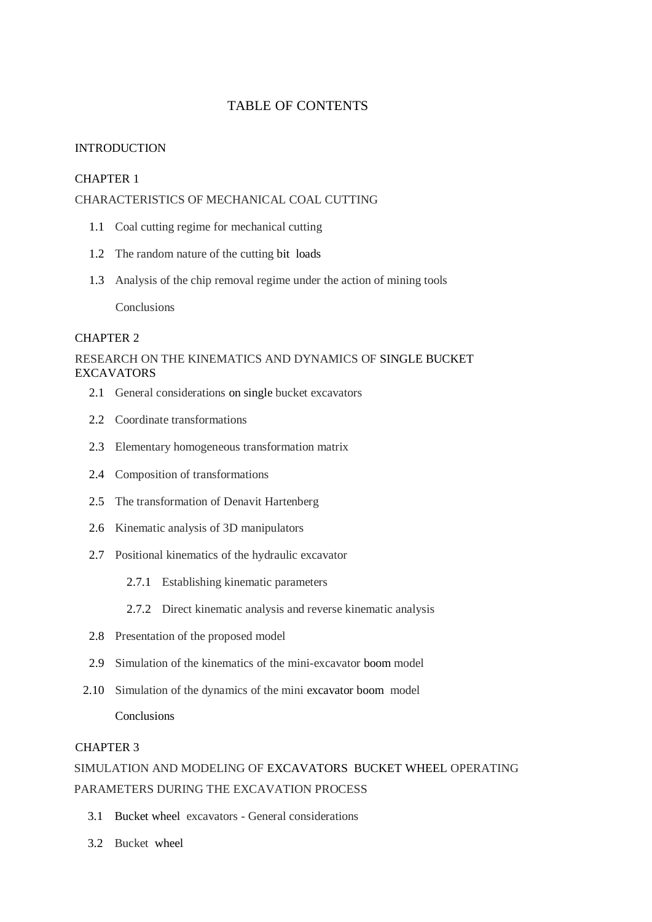#### TABLE OF CONTENTS

#### INTRODUCTION

#### CHAPTER 1

#### CHARACTERISTICS OF MECHANICAL COAL CUTTING

- 1.1 Coal cutting regime for mechanical cutting
- 1.2 The random nature of the cutting bit loads
- 1.3 Analysis of the chip removal regime under the action of mining tools

**Conclusions** 

#### CHAPTER 2

#### RESEARCH ON THE KINEMATICS AND DYNAMICS OF SINGLE BUCKET **EXCAVATORS**

- 2.1 General considerations on single bucket excavators
- 2.2 Coordinate transformations
- 2.3 Elementary homogeneous transformation matrix
- 2.4 Composition of transformations
- 2.5 The transformation of Denavit Hartenberg
- 2.6 Kinematic analysis of 3D manipulators
- 2.7 Positional kinematics of the hydraulic excavator
	- 2.7.1 Establishing kinematic parameters
	- 2.7.2 Direct kinematic analysis and reverse kinematic analysis
- 2.8 Presentation of the proposed model
- 2.9 Simulation of the kinematics of the mini-excavator boom model
- 2.10 Simulation of the dynamics of the mini excavator boom model Conclusions

#### CHAPTER 3

### SIMULATION AND MODELING OF EXCAVATORS BUCKET WHEEL OPERATING PARAMETERS DURING THE EXCAVATION PROCESS

- 3.1 Bucket wheel excavators General considerations
- 3.2 Bucket wheel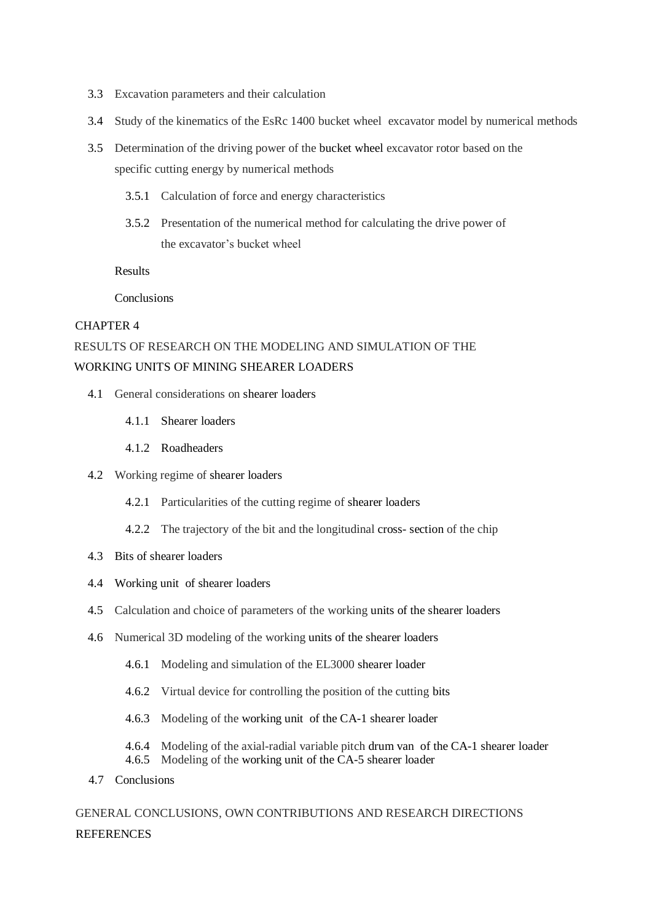- 3.3 Excavation parameters and their calculation
- 3.4 Study of the kinematics of the EsRc 1400 bucket wheel excavator model by numerical methods
- 3.5 Determination of the driving power of the bucket wheel excavator rotor based on the specific cutting energy by numerical methods
	- 3.5.1 Calculation of force and energy characteristics
	- 3.5.2 Presentation of the numerical method for calculating the drive power of the excavator's bucket wheel

Results

**Conclusions** 

#### CHAPTER 4

### RESULTS OF RESEARCH ON THE MODELING AND SIMULATION OF THE WORKING UNITS OF MINING SHEARER LOADERS

- 4.1 General considerations on shearer loaders
	- 4.1.1 Shearer loaders
	- 4.1.2 Roadheaders
- 4.2 Working regime of shearer loaders
	- 4.2.1 Particularities of the cutting regime of shearer loaders
	- 4.2.2 The trajectory of the bit and the longitudinal cross- section of the chip
- 4.3 Bits of shearer loaders
- 4.4 Working unit of shearer loaders
- 4.5 Calculation and choice of parameters of the working units of the shearer loaders
- 4.6 Numerical 3D modeling of the working units of the shearer loaders
	- 4.6.1 Modeling and simulation of the EL3000 shearer loader
	- 4.6.2 Virtual device for controlling the position of the cutting bits
	- 4.6.3 Modeling of the working unit of the CA-1 shearer loader
	- 4.6.4 Modeling of the axial-radial variable pitch drum van of the CA-1 shearer loader
	- 4.6.5 Modeling of the working unit of the CA-5 shearer loader
- 4.7 Conclusions

GENERAL CONCLUSIONS, OWN CONTRIBUTIONS AND RESEARCH DIRECTIONS **REFERENCES**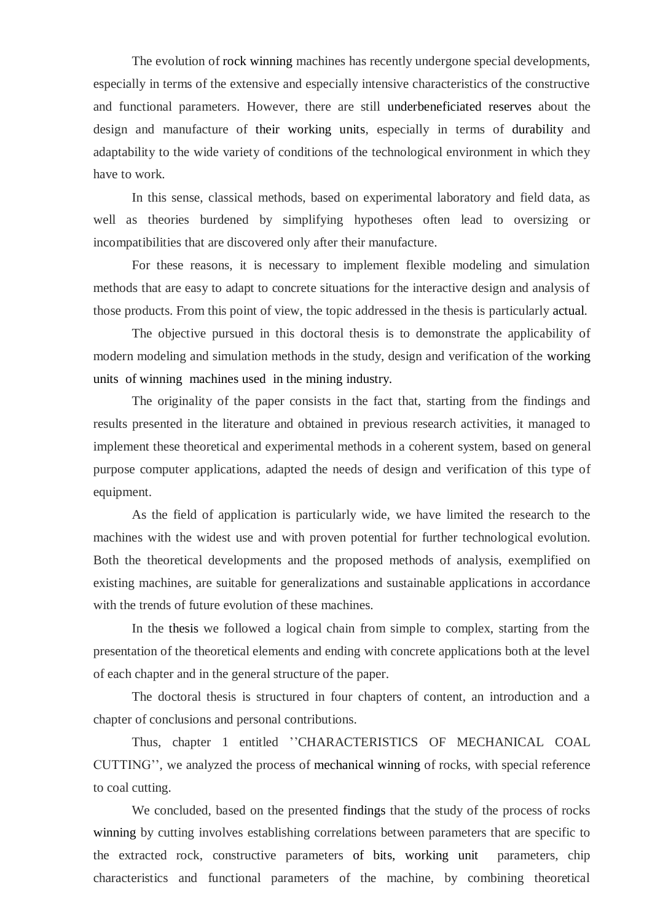The evolution of rock winning machines has recently undergone special developments, especially in terms of the extensive and especially intensive characteristics of the constructive and functional parameters. However, there are still underbeneficiated reserves about the design and manufacture of their working units, especially in terms of durability and adaptability to the wide variety of conditions of the technological environment in which they have to work.

In this sense, classical methods, based on experimental laboratory and field data, as well as theories burdened by simplifying hypotheses often lead to oversizing or incompatibilities that are discovered only after their manufacture.

For these reasons, it is necessary to implement flexible modeling and simulation methods that are easy to adapt to concrete situations for the interactive design and analysis of those products. From this point of view, the topic addressed in the thesis is particularly actual.

The objective pursued in this doctoral thesis is to demonstrate the applicability of modern modeling and simulation methods in the study, design and verification of the working units of winning machines used in the mining industry.

The originality of the paper consists in the fact that, starting from the findings and results presented in the literature and obtained in previous research activities, it managed to implement these theoretical and experimental methods in a coherent system, based on general purpose computer applications, adapted the needs of design and verification of this type of equipment.

As the field of application is particularly wide, we have limited the research to the machines with the widest use and with proven potential for further technological evolution. Both the theoretical developments and the proposed methods of analysis, exemplified on existing machines, are suitable for generalizations and sustainable applications in accordance with the trends of future evolution of these machines.

In the thesis we followed a logical chain from simple to complex, starting from the presentation of the theoretical elements and ending with concrete applications both at the level of each chapter and in the general structure of the paper.

The doctoral thesis is structured in four chapters of content, an introduction and a chapter of conclusions and personal contributions.

Thus, chapter 1 entitled ''CHARACTERISTICS OF MECHANICAL COAL CUTTING'', we analyzed the process of mechanical winning of rocks, with special reference to coal cutting.

We concluded, based on the presented findings that the study of the process of rocks winning by cutting involves establishing correlations between parameters that are specific to the extracted rock, constructive parameters of bits, working unit parameters, chip characteristics and functional parameters of the machine, by combining theoretical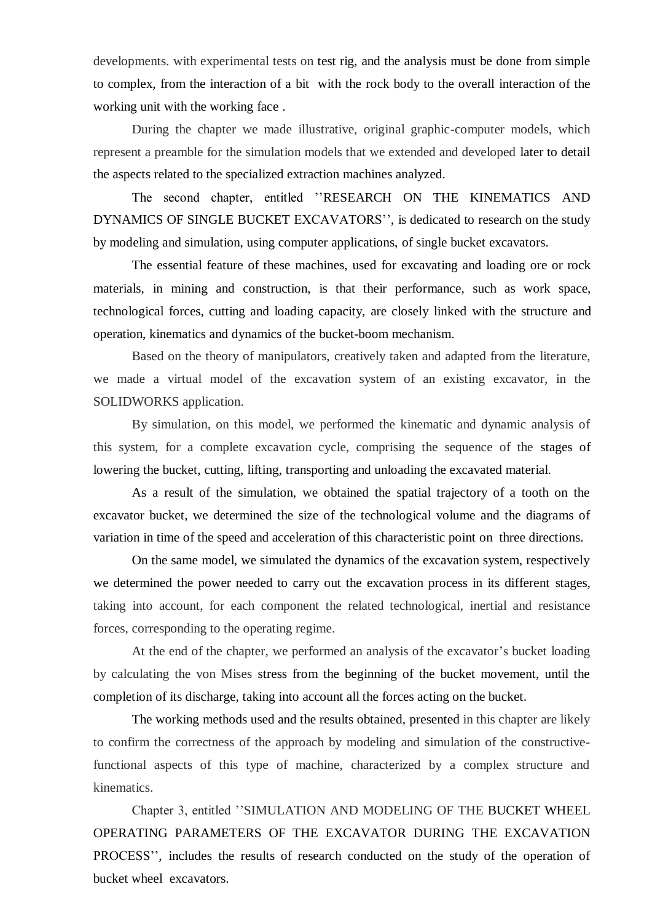developments. with experimental tests on test rig, and the analysis must be done from simple to complex, from the interaction of a bit with the rock body to the overall interaction of the working unit with the working face .

During the chapter we made illustrative, original graphic-computer models, which represent a preamble for the simulation models that we extended and developed later to detail the aspects related to the specialized extraction machines analyzed.

The second chapter, entitled ''RESEARCH ON THE KINEMATICS AND DYNAMICS OF SINGLE BUCKET EXCAVATORS'', is dedicated to research on the study by modeling and simulation, using computer applications, of single bucket excavators.

The essential feature of these machines, used for excavating and loading ore or rock materials, in mining and construction, is that their performance, such as work space, technological forces, cutting and loading capacity, are closely linked with the structure and operation, kinematics and dynamics of the bucket-boom mechanism.

Based on the theory of manipulators, creatively taken and adapted from the literature, we made a virtual model of the excavation system of an existing excavator, in the SOLIDWORKS application.

By simulation, on this model, we performed the kinematic and dynamic analysis of this system, for a complete excavation cycle, comprising the sequence of the stages of lowering the bucket, cutting, lifting, transporting and unloading the excavated material.

As a result of the simulation, we obtained the spatial trajectory of a tooth on the excavator bucket, we determined the size of the technological volume and the diagrams of variation in time of the speed and acceleration of this characteristic point on three directions.

On the same model, we simulated the dynamics of the excavation system, respectively we determined the power needed to carry out the excavation process in its different stages, taking into account, for each component the related technological, inertial and resistance forces, corresponding to the operating regime.

At the end of the chapter, we performed an analysis of the excavator's bucket loading by calculating the von Mises stress from the beginning of the bucket movement, until the completion of its discharge, taking into account all the forces acting on the bucket.

The working methods used and the results obtained, presented in this chapter are likely to confirm the correctness of the approach by modeling and simulation of the constructivefunctional aspects of this type of machine, characterized by a complex structure and kinematics.

Chapter 3, entitled ''SIMULATION AND MODELING OF THE BUCKET WHEEL OPERATING PARAMETERS OF THE EXCAVATOR DURING THE EXCAVATION PROCESS'', includes the results of research conducted on the study of the operation of bucket wheel excavators.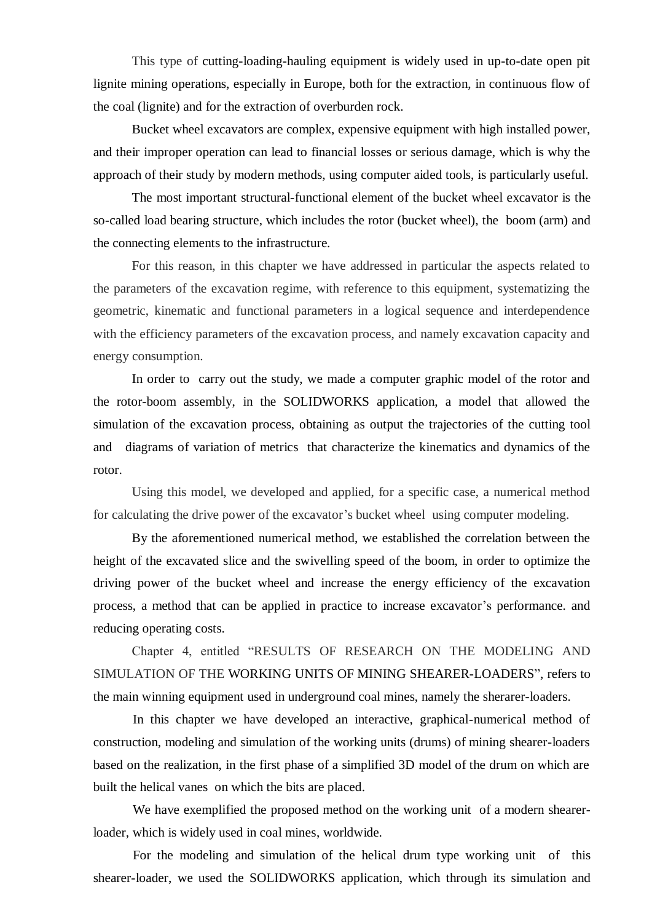This type of cutting-loading-hauling equipment is widely used in up-to-date open pit lignite mining operations, especially in Europe, both for the extraction, in continuous flow of the coal (lignite) and for the extraction of overburden rock.

Bucket wheel excavators are complex, expensive equipment with high installed power, and their improper operation can lead to financial losses or serious damage, which is why the approach of their study by modern methods, using computer aided tools, is particularly useful.

The most important structural-functional element of the bucket wheel excavator is the so-called load bearing structure, which includes the rotor (bucket wheel), the boom (arm) and the connecting elements to the infrastructure.

For this reason, in this chapter we have addressed in particular the aspects related to the parameters of the excavation regime, with reference to this equipment, systematizing the geometric, kinematic and functional parameters in a logical sequence and interdependence with the efficiency parameters of the excavation process, and namely excavation capacity and energy consumption.

In order to carry out the study, we made a computer graphic model of the rotor and the rotor-boom assembly, in the SOLIDWORKS application, a model that allowed the simulation of the excavation process, obtaining as output the trajectories of the cutting tool and diagrams of variation of metrics that characterize the kinematics and dynamics of the rotor.

Using this model, we developed and applied, for a specific case, a numerical method for calculating the drive power of the excavator's bucket wheel using computer modeling.

By the aforementioned numerical method, we established the correlation between the height of the excavated slice and the swivelling speed of the boom, in order to optimize the driving power of the bucket wheel and increase the energy efficiency of the excavation process, a method that can be applied in practice to increase excavator's performance. and reducing operating costs.

Chapter 4, entitled "RESULTS OF RESEARCH ON THE MODELING AND SIMULATION OF THE WORKING UNITS OF MINING SHEARER-LOADERS", refers to the main winning equipment used in underground coal mines, namely the sherarer-loaders.

In this chapter we have developed an interactive, graphical-numerical method of construction, modeling and simulation of the working units (drums) of mining shearer-loaders based on the realization, in the first phase of a simplified 3D model of the drum on which are built the helical vanes on which the bits are placed.

We have exemplified the proposed method on the working unit of a modern shearerloader, which is widely used in coal mines, worldwide.

For the modeling and simulation of the helical drum type working unit of this shearer-loader, we used the SOLIDWORKS application, which through its simulation and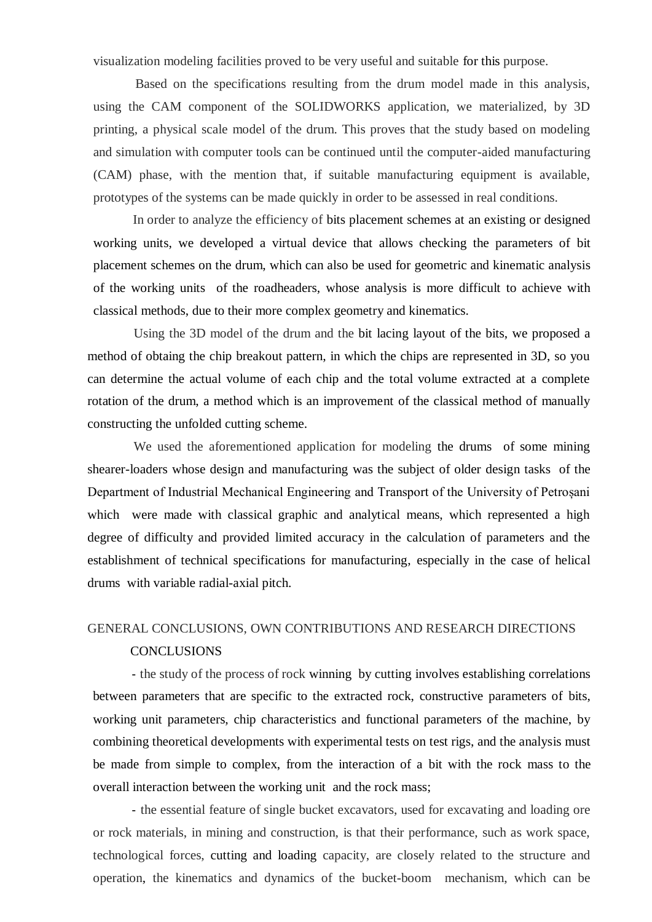visualization modeling facilities proved to be very useful and suitable for this purpose.

Based on the specifications resulting from the drum model made in this analysis, using the CAM component of the SOLIDWORKS application, we materialized, by 3D printing, a physical scale model of the drum. This proves that the study based on modeling and simulation with computer tools can be continued until the computer-aided manufacturing (CAM) phase, with the mention that, if suitable manufacturing equipment is available, prototypes of the systems can be made quickly in order to be assessed in real conditions.

 In order to analyze the efficiency of bits placement schemes at an existing or designed working units, we developed a virtual device that allows checking the parameters of bit placement schemes on the drum, which can also be used for geometric and kinematic analysis of the working units of the roadheaders, whose analysis is more difficult to achieve with classical methods, due to their more complex geometry and kinematics.

Using the 3D model of the drum and the bit lacing layout of the bits, we proposed a method of obtaing the chip breakout pattern, in which the chips are represented in 3D, so you can determine the actual volume of each chip and the total volume extracted at a complete rotation of the drum, a method which is an improvement of the classical method of manually constructing the unfolded cutting scheme.

We used the aforementioned application for modeling the drums of some mining shearer-loaders whose design and manufacturing was the subject of older design tasks of the Department of Industrial Mechanical Engineering and Transport of the University of Petroșani which were made with classical graphic and analytical means, which represented a high degree of difficulty and provided limited accuracy in the calculation of parameters and the establishment of technical specifications for manufacturing, especially in the case of helical drums with variable radial-axial pitch.

## GENERAL CONCLUSIONS, OWN CONTRIBUTIONS AND RESEARCH DIRECTIONS

#### CONCLUSIONS

- the study of the process of rock winning by cutting involves establishing correlations between parameters that are specific to the extracted rock, constructive parameters of bits, working unit parameters, chip characteristics and functional parameters of the machine, by combining theoretical developments with experimental tests on test rigs, and the analysis must be made from simple to complex, from the interaction of a bit with the rock mass to the overall interaction between the working unit and the rock mass;

- the essential feature of single bucket excavators, used for excavating and loading ore or rock materials, in mining and construction, is that their performance, such as work space, technological forces, cutting and loading capacity, are closely related to the structure and operation, the kinematics and dynamics of the bucket-boom mechanism, which can be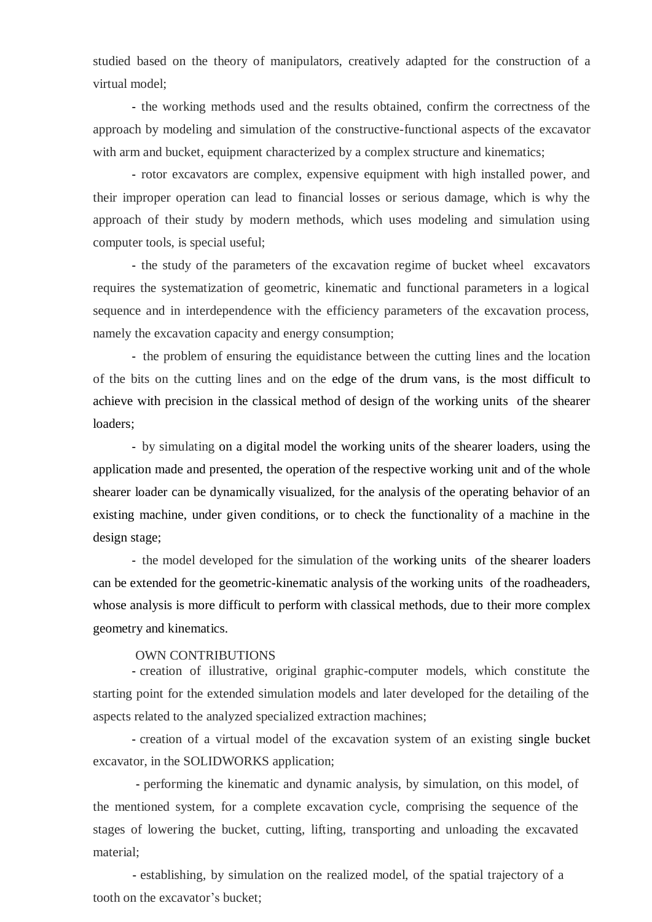studied based on the theory of manipulators, creatively adapted for the construction of a virtual model;

- the working methods used and the results obtained, confirm the correctness of the approach by modeling and simulation of the constructive-functional aspects of the excavator with arm and bucket, equipment characterized by a complex structure and kinematics;

- rotor excavators are complex, expensive equipment with high installed power, and their improper operation can lead to financial losses or serious damage, which is why the approach of their study by modern methods, which uses modeling and simulation using computer tools, is special useful;

- the study of the parameters of the excavation regime of bucket wheel excavators requires the systematization of geometric, kinematic and functional parameters in a logical sequence and in interdependence with the efficiency parameters of the excavation process, namely the excavation capacity and energy consumption;

- the problem of ensuring the equidistance between the cutting lines and the location of the bits on the cutting lines and on the edge of the drum vans, is the most difficult to achieve with precision in the classical method of design of the working units of the shearer loaders;

- by simulating on a digital model the working units of the shearer loaders, using the application made and presented, the operation of the respective working unit and of the whole shearer loader can be dynamically visualized, for the analysis of the operating behavior of an existing machine, under given conditions, or to check the functionality of a machine in the design stage;

- the model developed for the simulation of the working units of the shearer loaders can be extended for the geometric-kinematic analysis of the working units of the roadheaders, whose analysis is more difficult to perform with classical methods, due to their more complex geometry and kinematics.

#### OWN CONTRIBUTIONS

- creation of illustrative, original graphic-computer models, which constitute the starting point for the extended simulation models and later developed for the detailing of the aspects related to the analyzed specialized extraction machines;

- creation of a virtual model of the excavation system of an existing single bucket excavator, in the SOLIDWORKS application;

- performing the kinematic and dynamic analysis, by simulation, on this model, of the mentioned system, for a complete excavation cycle, comprising the sequence of the stages of lowering the bucket, cutting, lifting, transporting and unloading the excavated material;

- establishing, by simulation on the realized model, of the spatial trajectory of a tooth on the excavator's bucket;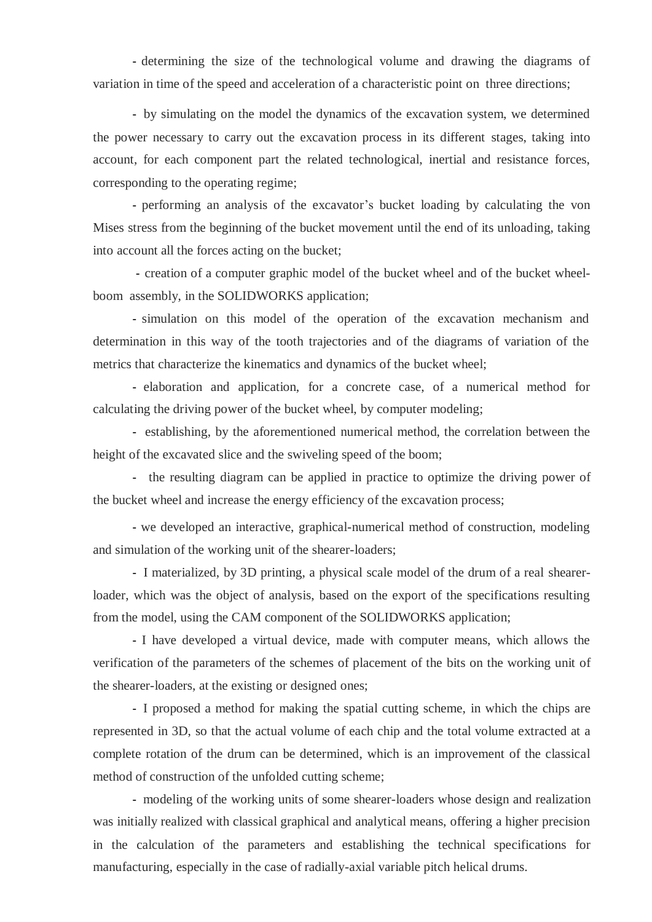- determining the size of the technological volume and drawing the diagrams of variation in time of the speed and acceleration of a characteristic point on three directions;

- by simulating on the model the dynamics of the excavation system, we determined the power necessary to carry out the excavation process in its different stages, taking into account, for each component part the related technological, inertial and resistance forces, corresponding to the operating regime;

- performing an analysis of the excavator's bucket loading by calculating the von Mises stress from the beginning of the bucket movement until the end of its unloading, taking into account all the forces acting on the bucket;

- creation of a computer graphic model of the bucket wheel and of the bucket wheelboom assembly, in the SOLIDWORKS application;

- simulation on this model of the operation of the excavation mechanism and determination in this way of the tooth trajectories and of the diagrams of variation of the metrics that characterize the kinematics and dynamics of the bucket wheel;

- elaboration and application, for a concrete case, of a numerical method for calculating the driving power of the bucket wheel, by computer modeling;

- establishing, by the aforementioned numerical method, the correlation between the height of the excavated slice and the swiveling speed of the boom;

- the resulting diagram can be applied in practice to optimize the driving power of the bucket wheel and increase the energy efficiency of the excavation process;

- we developed an interactive, graphical-numerical method of construction, modeling and simulation of the working unit of the shearer-loaders;

- I materialized, by 3D printing, a physical scale model of the drum of a real shearerloader, which was the object of analysis, based on the export of the specifications resulting from the model, using the CAM component of the SOLIDWORKS application;

- I have developed a virtual device, made with computer means, which allows the verification of the parameters of the schemes of placement of the bits on the working unit of the shearer-loaders, at the existing or designed ones;

- I proposed a method for making the spatial cutting scheme, in which the chips are represented in 3D, so that the actual volume of each chip and the total volume extracted at a complete rotation of the drum can be determined, which is an improvement of the classical method of construction of the unfolded cutting scheme;

- modeling of the working units of some shearer-loaders whose design and realization was initially realized with classical graphical and analytical means, offering a higher precision in the calculation of the parameters and establishing the technical specifications for manufacturing, especially in the case of radially-axial variable pitch helical drums.